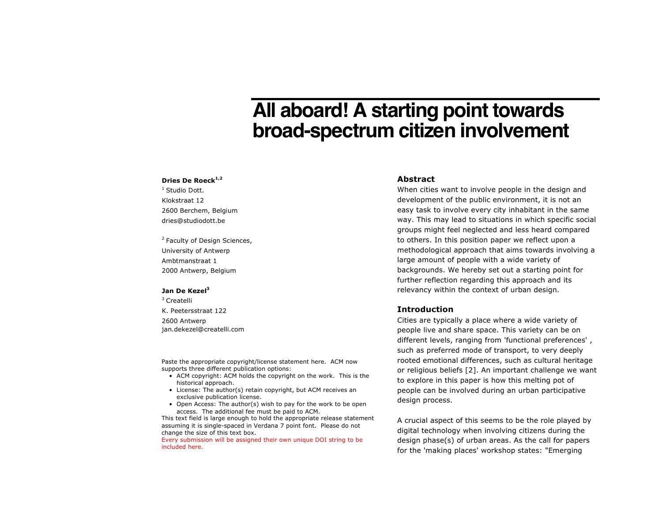# **All aboard! A starting point towards broad-spectrum citizen involvement**

#### **Dries De Roeck1,2**

<sup>1</sup> Studio Dott. Klokstraat 12 2600 Berchem, Belgium dries@studiodott.be

<sup>2</sup> Faculty of Design Sciences, University of Antwerp Ambtmanstraat 1 2000 Antwerp, Belgium

#### Jan De Kezel<sup>3</sup>

<sup>3</sup> Createlli

K. Peetersstraat 122 2600 Antwerp jan.dekezel@createlli.com

Paste the appropriate copyright/license statement here. ACM now supports three different publication options:

- ACM copyright: ACM holds the copyright on the work. This is the historical approach.
- License: The author(s) retain copyright, but ACM receives an exclusive publication license.
- Open Access: The author(s) wish to pay for the work to be open access. The additional fee must be paid to ACM.

This text field is large enough to hold the appropriate release statement assuming it is single-spaced in Verdana 7 point font. Please do not change the size of this text box.

Every submission will be assigned their own unique DOI string to be included here.

## **Abstract**

When cities want to involve people in the design and development of the public environment, it is not an easy task to involve every city inhabitant in the same way. This may lead to situations in which specific social groups might feel neglected and less heard compared to others. In this position paper we reflect upon a methodological approach that aims towards involving a large amount of people with a wide variety of backgrounds. We hereby set out a starting point for further reflection regarding this approach and its relevancy within the context of urban design.

## **Introduction**

Cities are typically a place where a wide variety of people live and share space. This variety can be on different levels, ranging from 'functional preferences' , such as preferred mode of transport, to very deeply rooted emotional differences, such as cultural heritage or religious beliefs [2]. An important challenge we want to explore in this paper is how this melting pot of people can be involved during an urban participative design process.

A crucial aspect of this seems to be the role played by digital technology when involving citizens during the design phase(s) of urban areas. As the call for papers for the 'making places' workshop states: "Emerging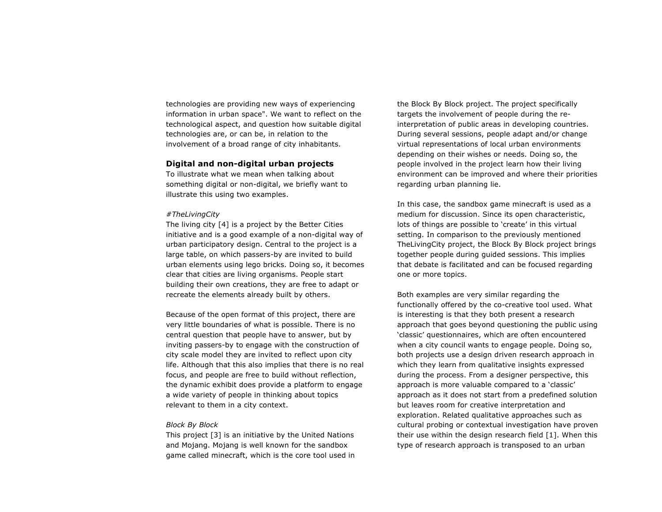technologies are providing new ways of experiencing information in urban space". We want to reflect on the technological aspect, and question how suitable digital technologies are, or can be, in relation to the involvement of a broad range of city inhabitants.

## **Digital and non-digital urban projects**

To illustrate what we mean when talking about something digital or non-digital, we briefly want to illustrate this using two examples.

#### *#TheLivingCity*

The living city [4] is a project by the Better Cities initiative and is a good example of a non-digital way of urban participatory design. Central to the project is a large table, on which passers-by are invited to build urban elements using lego bricks. Doing so, it becomes clear that cities are living organisms. People start building their own creations, they are free to adapt or recreate the elements already built by others.

Because of the open format of this project, there are very little boundaries of what is possible. There is no central question that people have to answer, but by inviting passers-by to engage with the construction of city scale model they are invited to reflect upon city life. Although that this also implies that there is no real focus, and people are free to build without reflection, the dynamic exhibit does provide a platform to engage a wide variety of people in thinking about topics relevant to them in a city context.

#### *Block By Block*

This project [3] is an initiative by the United Nations and Mojang. Mojang is well known for the sandbox game called minecraft, which is the core tool used in the Block By Block project. The project specifically targets the involvement of people during the reinterpretation of public areas in developing countries. During several sessions, people adapt and/or change virtual representations of local urban environments depending on their wishes or needs. Doing so, the people involved in the project learn how their living environment can be improved and where their priorities regarding urban planning lie.

In this case, the sandbox game minecraft is used as a medium for discussion. Since its open characteristic, lots of things are possible to 'create' in this virtual setting. In comparison to the previously mentioned TheLivingCity project, the Block By Block project brings together people during guided sessions. This implies that debate is facilitated and can be focused regarding one or more topics.

Both examples are very similar regarding the functionally offered by the co-creative tool used. What is interesting is that they both present a research approach that goes beyond questioning the public using 'classic' questionnaires, which are often encountered when a city council wants to engage people. Doing so, both projects use a design driven research approach in which they learn from qualitative insights expressed during the process. From a designer perspective, this approach is more valuable compared to a 'classic' approach as it does not start from a predefined solution but leaves room for creative interpretation and exploration. Related qualitative approaches such as cultural probing or contextual investigation have proven their use within the design research field [1]. When this type of research approach is transposed to an urban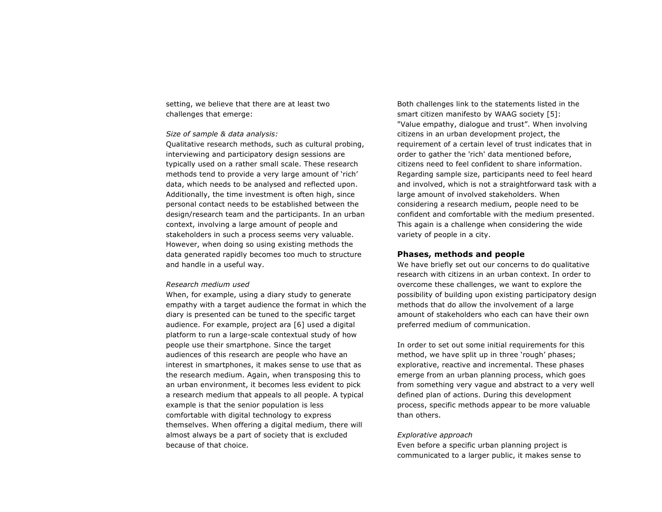setting, we believe that there are at least two challenges that emerge:

## *Size of sample & data analysis:*

Qualitative research methods, such as cultural probing, interviewing and participatory design sessions are typically used on a rather small scale. These research methods tend to provide a very large amount of 'rich' data, which needs to be analysed and reflected upon. Additionally, the time investment is often high, since personal contact needs to be established between the design/research team and the participants. In an urban context, involving a large amount of people and stakeholders in such a process seems very valuable. However, when doing so using existing methods the data generated rapidly becomes too much to structure and handle in a useful way.

#### *Research medium used*

When, for example, using a diary study to generate empathy with a target audience the format in which the diary is presented can be tuned to the specific target audience. For example, project ara [6] used a digital platform to run a large-scale contextual study of how people use their smartphone. Since the target audiences of this research are people who have an interest in smartphones, it makes sense to use that as the research medium. Again, when transposing this to an urban environment, it becomes less evident to pick a research medium that appeals to all people. A typical example is that the senior population is less comfortable with digital technology to express themselves. When offering a digital medium, there will almost always be a part of society that is excluded because of that choice.

Both challenges link to the statements listed in the smart citizen manifesto by WAAG society [5]: "Value empathy, dialogue and trust". When involving citizens in an urban development project, the requirement of a certain level of trust indicates that in order to gather the 'rich' data mentioned before, citizens need to feel confident to share information. Regarding sample size, participants need to feel heard and involved, which is not a straightforward task with a large amount of involved stakeholders. When considering a research medium, people need to be confident and comfortable with the medium presented. This again is a challenge when considering the wide variety of people in a city.

## **Phases, methods and people**

We have briefly set out our concerns to do qualitative research with citizens in an urban context. In order to overcome these challenges, we want to explore the possibility of building upon existing participatory design methods that do allow the involvement of a large amount of stakeholders who each can have their own preferred medium of communication.

In order to set out some initial requirements for this method, we have split up in three 'rough' phases; explorative, reactive and incremental. These phases emerge from an urban planning process, which goes from something very vague and abstract to a very well defined plan of actions. During this development process, specific methods appear to be more valuable than others.

#### *Explorative approach*

Even before a specific urban planning project is communicated to a larger public, it makes sense to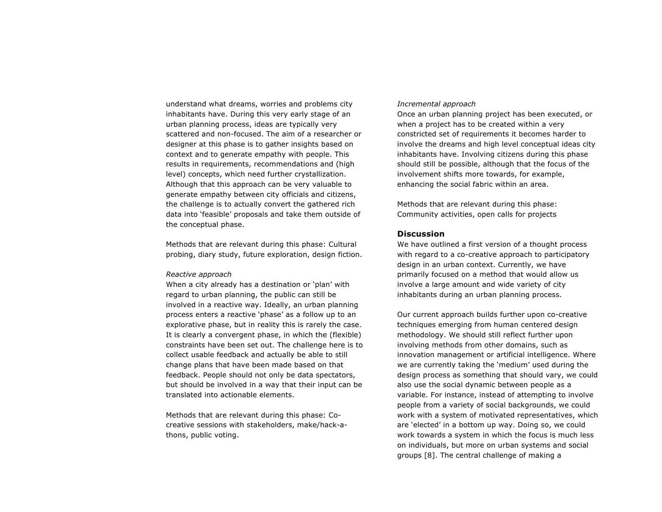understand what dreams, worries and problems city inhabitants have. During this very early stage of an urban planning process, ideas are typically very scattered and non-focused. The aim of a researcher or designer at this phase is to gather insights based on context and to generate empathy with people. This results in requirements, recommendations and (high level) concepts, which need further crystallization. Although that this approach can be very valuable to generate empathy between city officials and citizens, the challenge is to actually convert the gathered rich data into 'feasible' proposals and take them outside of the conceptual phase.

Methods that are relevant during this phase: Cultural probing, diary study, future exploration, design fiction.

#### *Reactive approach*

When a city already has a destination or 'plan' with regard to urban planning, the public can still be involved in a reactive way. Ideally, an urban planning process enters a reactive 'phase' as a follow up to an explorative phase, but in reality this is rarely the case. It is clearly a convergent phase, in which the (flexible) constraints have been set out. The challenge here is to collect usable feedback and actually be able to still change plans that have been made based on that feedback. People should not only be data spectators, but should be involved in a way that their input can be translated into actionable elements.

Methods that are relevant during this phase: Cocreative sessions with stakeholders, make/hack-athons, public voting.

### *Incremental approach*

Once an urban planning project has been executed, or when a project has to be created within a very constricted set of requirements it becomes harder to involve the dreams and high level conceptual ideas city inhabitants have. Involving citizens during this phase should still be possible, although that the focus of the involvement shifts more towards, for example, enhancing the social fabric within an area.

Methods that are relevant during this phase: Community activities, open calls for projects

# **Discussion**

We have outlined a first version of a thought process with regard to a co-creative approach to participatory design in an urban context. Currently, we have primarily focused on a method that would allow us involve a large amount and wide variety of city inhabitants during an urban planning process.

Our current approach builds further upon co-creative techniques emerging from human centered design methodology. We should still reflect further upon involving methods from other domains, such as innovation management or artificial intelligence. Where we are currently taking the 'medium' used during the design process as something that should vary, we could also use the social dynamic between people as a variable. For instance, instead of attempting to involve people from a variety of social backgrounds, we could work with a system of motivated representatives, which are 'elected' in a bottom up way. Doing so, we could work towards a system in which the focus is much less on individuals, but more on urban systems and social groups [8]. The central challenge of making a